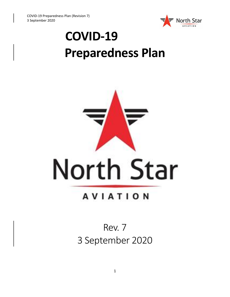

# **COVID-19 Preparedness Plan**



## **AVIATION**

## Rev. 7 3 September 2020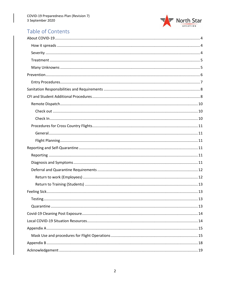

### Table of Contents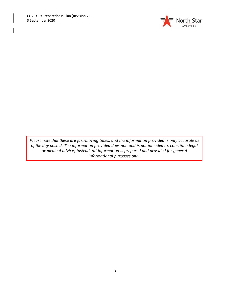

<span id="page-2-0"></span>*Please note that these are fast-moving times, and the information provided is only accurate as of the day posted. The information provided does not, and is not intended to, constitute legal or medical advice; instead, all information is prepared and provided for general informational purposes only.*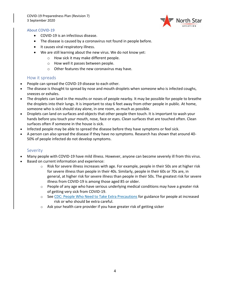COVID-19 Preparedness Plan (Revision 7) 3 September 2020



### About COVID-19

- COVID-19 is an infectious disease.
- The disease is caused by a coronavirus not found in people before.
- It causes viral respiratory illness.
- We are still learning about the new virus. We do not know yet:
	- o How sick it may make different people.
	- o How well it passes between people.
	- o Other features the new coronavirus may have.

### <span id="page-3-0"></span>How it spreads

- People can spread the COVID-19 disease to each other.
- The disease is thought to spread by nose and mouth droplets when someone who is infected coughs, sneezes or exhales.
- The droplets can land in the mouths or noses of people nearby. It may be possible for people to breathe the droplets into their lungs. It is important to stay 6 feet away from other people in public. At home, someone who is sick should stay alone, in one room, as much as possible.
- Droplets can land on surfaces and objects that other people then touch. It is important to wash your hands before you touch your mouth, nose, face or eyes. Clean surfaces that are touched often. Clean surfaces often if someone in the house is sick.
- Infected people may be able to spread the disease before they have symptoms or feel sick.
- A person can also spread the disease if they have no symptoms. Research has shown that around 40- 50% of people infected do not develop symptoms.

### <span id="page-3-1"></span>**Severity**

- Many people with COVID-19 have mild illness. However, anyone can become severely ill from this virus.
- Based on current information and experience:
	- $\circ$  Risk for severe illness increases with age. For example, people in their 50s are at higher risk for severe illness than people in their 40s. Similarly, people in their 60s or 70s are, in general, at higher risk for severe illness than people in their 50s. The greatest risk for severe illness from COVID-19 is among those aged 85 or older.
	- $\circ$  People of any age who have serious underlying medical conditions may have a greater risk of getting very sick from COVID-19.
	- o See [CDC: People Who Need to Take Extra Precautions](https://www.cdc.gov/coronavirus/2019-ncov/need-extra-precautions/index.html) for guidance for people at increased risk or who should be extra careful.
	- $\circ$  Ask your health care provider if you have greater risk of getting sicker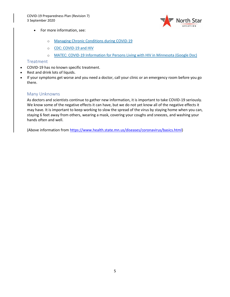

- For more information, see:
	- o [Managing Chronic Conditions during COVID-19](https://www.health.state.mn.us/people/conditions/index.html)
	- o [CDC: COVID-19 and HIV](https://www.cdc.gov/hiv/covid-19/index.html)
	- o [MATEC: COVID-19 Information for Persons Living with HIV in Minnesota \(Google Doc\)](https://drive.google.com/file/d/1OpEzQqNP0dNDowYjxaf0PVARbh2b_Me-/edit)

### <span id="page-4-0"></span>**Treatment**

- COVID-19 has no known specific treatment.
- Rest and drink lots of liquids.
- If your symptoms get worse and you need a doctor, call your clinic or an emergency room before you go there.

### <span id="page-4-1"></span>Many Unknowns

As doctors and scientists continue to gather new information, it is important to take COVID-19 seriously. We know some of the negative effects it can have, but we do not yet know all of the negative effects it may have. It is important to keep working to slow the spread of the virus by staying home when you can, staying 6 feet away from others, wearing a mask, covering your coughs and sneezes, and washing your hands often and well.

(Above information from [https://www.health.state.mn.us/diseases/coronavirus/basics.html\)](https://www.health.state.mn.us/diseases/coronavirus/basics.html)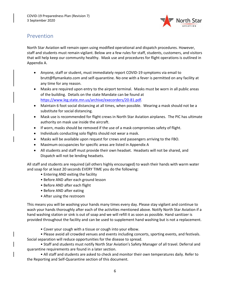

### <span id="page-5-0"></span>Prevention

North Star Aviation will remain open using modified operational and dispatch procedures. However, staff and students must remain vigilant. Below are a few rules for staff, students, customers, and visitors that will help keep our community healthy. Mask use and procedures for flight operations is outlined in Appendix A.

- Anyone, staff or student, must immediately report COVID-19 symptoms via email to brutt@flymankato.com and self-quarantine. No one with a fever is permitted on any facility at any time for any reason.
- Masks are required upon entry to the airport terminal. Masks must be worn in all public areas of the building. Details on the state Mandate can be found at [https://www.leg.state.mn.us/archive/execorders/20-81.pdf.](https://www.leg.state.mn.us/archive/execorders/20-81.pdf)
- Maintain 6 foot social distancing at all times, when possible. Wearing a mask should not be a substitute for social distancing.
- Mask use is recommended for flight crews in North Star Aviation airplanes. The PIC has ultimate authority on mask use inside the aircraft.
- If worn, masks should be removed if the use of a mask compromises safety of flight.
- Individuals conducting solo flights should not wear a mask.
- Masks will be available upon request for crews and passengers arriving to the FBO.
- Maximum occupancies for specific areas are listed in Appendix A
- All students and staff must provide their own headset. Headsets will not be shared, and Dispatch will not be lending headsets.

All staff and students are required (all others highly encouraged) to wash their hands with warm water and soap for at least 20 seconds EVERY TIME you do the following:

- Entering AND exiting the facility
- Before AND after each ground lesson
- Before AND after each flight
- Before AND after eating
- After using the restroom

This means you will be washing your hands many times every day. Please stay vigilant and continue to wash your hands thoroughly after each of the activities mentioned above. Notify North Star Aviation if a hand washing station or sink is out of soap and we will refill it as soon as possible. Hand sanitizer is provided throughout the facility and can be used to supplement hand washing but is not a replacement.

• Cover your cough with a tissue or cough into your elbow.

• Please avoid all crowded venues and events including concerts, sporting events, and festivals. Social separation will reduce opportunities for the disease to spread.

• Staff and students must notify North Star Aviation's Safety Manager of all travel. Deferral and quarantine requirements are found in a later section.

• All staff and students are asked to check and monitor their own temperatures daily. Refer to the Reporting and Self-Quarantine section of this document.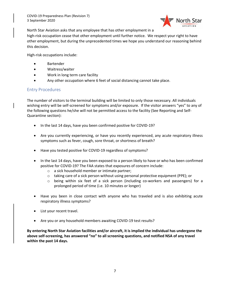

North Star Aviation asks that any employee that has other employment in a

high-risk occupation cease that other employment until further notice. We respect your right to have other employment, but during the unprecedented times we hope you understand our reasoning behind this decision.

High-risk occupations include:

- **Bartender**
- Waitress/waiter
- Work in long term care facility
- Any other occupation where 6 feet of social distancing cannot take place.

### <span id="page-6-0"></span>Entry Procedures

The number of visitors to the terminal building will be limited to only those necessary. All individuals wishing entry will be self-screened for symptoms and/or exposure. If the visitor answers "yes" to any of the following questions he/she will not be permitted access to the facility (See Reporting and Self-Quarantine section):

- In the last 14 days, have you been confirmed positive for COVID-19?
- Are you currently experiencing, or have you recently experienced, any acute respiratory illness symptoms such as fever, cough, sore throat, or shortness of breath?
- Have you tested positive for COVID-19 regardless of symptoms?
- In the last 14 days, have you been exposed to a person likely to have or who has been confirmed positive for COVID-19? The FAA states that exposures of concern include:
	- o a sick household member or intimate partner;
	- $\circ$  taking care of a sick person without using personal protective equipment (PPE); or
	- o being within six feet of a sick person (including co-workers and passengers) for a prolonged period of time (i.e. 10 minutes or longer)
- Have you been in close contact with anyone who has traveled and is also exhibiting acute respiratory illness symptoms?
- List your recent travel.
- Are you or any household members awaiting COVID-19 test results?

**By entering North Star Aviation facilities and/or aircraft, it is implied the individual has undergone the above self-screening, has answered "no" to all screening questions, and notified NSA of any travel within the past 14 days.**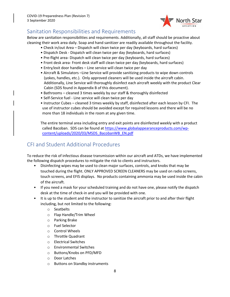

### <span id="page-7-0"></span>Sanitation Responsibilities and Requirements

Below are sanitation responsibilities and requirements. Additionally, all staff should be proactive about cleaning their work area daily. Soap and hand sanitizer are readily available throughout the facility.

- Check in/out Area Dispatch will clean twice per day (keyboards, hard surfaces)
- Dispatch Desk Dispatch will clean twice per day (keyboards, hard surfaces)
- Pre-flight area- Dispatch will clean twice per day (keyboards, hard surfaces)
- Front desk area- Front desk staff will clean twice per day (keyboards, hard surfaces)
- Entry/exit door handles Line service will clean twice per day
- Aircraft & Simulators –Line Service will provide sanitizing products to wipe down controls (yokes, handles, etc.). Only approved cleaners will be used inside the aircraft cabin. Additionally, Line Service will thoroughly disinfect each aircraft weekly with the product Clear Cabin (SDS found in Appendix B of this document).
- Bathrooms cleaned 3 times weekly by our staff & thoroughly disinfected
- Self-Service fuel Line service will clean twice per day
- Instructor Cubes cleaned 3 times weekly by staff, disinfected after each lesson by CFI. The use of instructor cubes should be avoided except for required lessons and there will be no more than 18 individuals in the room at any given time.

The entire terminal area including entry and exit points are disinfected weekly with a product called Bacoban. SDS can be found at [https://www.globalappearanceproducts.com/wp](https://www.globalappearanceproducts.com/wp-content/uploads/2020/03/MSDS_BacobanWB_EN.pdf)[content/uploads/2020/03/MSDS\\_BacobanWB\\_EN.pdf](https://www.globalappearanceproducts.com/wp-content/uploads/2020/03/MSDS_BacobanWB_EN.pdf)

### <span id="page-7-1"></span>CFI and Student Additional Procedures

To reduce the risk of infectious disease transmission within our aircraft and ATDs, we have implemented the following dispatch procedures to mitigate the risk to clients and instructors.

- Disinfecting wipes may be used to clean major surfaces, controls, and knobs that may be touched during the flight. ONLY APPROVED SCREEN CLEANERS may be used on radio screens, touch screens, and EFIS displays. No products containing ammonia may be used inside the cabin of the aircraft.
- If you need a mask for your scheduled training and do not have one, please notify the dispatch desk at the time of check-in and you will be provided with one.
- It is up to the student and the instructor to sanitize the aircraft prior to and after their flight including, but not limited to the following:
	- o Seatbelts
	- o Flap Handle/Trim Wheel
	- o Parking Brake
	- o Fuel Selector
	- o Control Wheels
	- o Throttle Quadrant
	- o Electrical Switches
	- o Environmental Switches
	- o Buttons/Knobs on PFD/MFD
	- o Door Latches
	- o Buttons on Standby instruments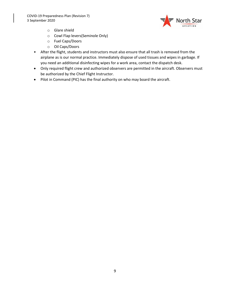

- o Glare shield
- o Cowl Flap levers(Seminole Only)
- o Fuel Caps/Doors
- o Oil Caps/Doors
- After the flight, students and instructors must also ensure that all trash is removed from the airplane as is our normal practice. Immediately dispose of used tissues and wipes in garbage. If you need an additional disinfecting wipes for a work area, contact the dispatch desk.
- Only required flight crew and authorized observers are permitted in the aircraft. Observers must be authorized by the Chief Flight Instructor.
- Pilot in Command (PIC) has the final authority on who may board the aircraft.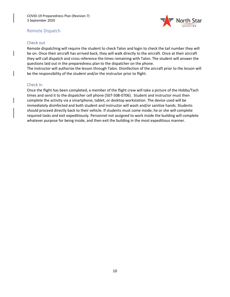

### <span id="page-9-0"></span>Remote Dispatch

### <span id="page-9-1"></span>Check out

Remote dispatching will require the student to check Talon and login to check the tail number they will be on. Once their aircraft has arrived back, they will walk directly to the aircraft. Once at their aircraft they will call dispatch and cross reference the times remaining with Talon. The student will answer the questions laid out in the preparedness plan to the dispatcher on the phone.

The instructor will authorize the lesson through Talon. Disinfection of the aircraft prior to the lesson will be the responsibility of the student and/or the instructor prior to flight.

### <span id="page-9-2"></span>Check In

Once the flight has been completed, a member of the flight crew will take a picture of the Hobbs/Tach times and send it to the dispatcher cell phone (507-508-0706). Student and instructor must then complete the activity via a smartphone, tablet, or desktop workstation. The device used will be immediately disinfected and both student and instructor will wash and/or sanitize hands. Students should proceed directly back to their vehicle. If students must come inside, he or she will complete required tasks and exit expeditiously. Personnel not assigned to work inside the building will complete whatever purpose for being inside, and then exit the building in the most expeditious manner.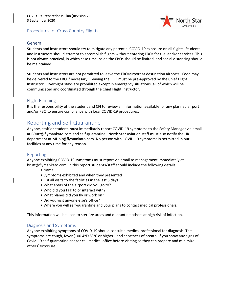

### <span id="page-10-0"></span>Procedures for Cross Country Flights

### <span id="page-10-1"></span>General

Students and instructors should try to mitigate any potential COVID-19 exposure on all flights. Students and instructors should attempt to accomplish flights without entering FBOs for fuel and/or services. This is not always practical, in which case time inside the FBOs should be limited, and social distancing should be maintained.

Students and instructors are not permitted to leave the FBO/airport at destination airports. Food may be delivered to the FBO if necessary. Leaving the FBO must be pre-approved by the Chief Flight Instructor. Overnight stays are prohibited except in emergency situations, all of which will be communicated and coordinated through the Chief Flight Instructor.

### <span id="page-10-2"></span>Flight Planning

It is the responsibility of the student and CFI to review all information available for any planned airport and/or FBO to ensure compliance with local COVID-19 procedures.

### <span id="page-10-3"></span>Reporting and Self-Quarantine

Anyone, staff or student, must immediately report COVID-19 symptoms to the Safety Manager via email at BRutt@flymankato.com and self-quarantine. North Star Aviation staff must also notify the HR department at MHolt@flymankato.com. No person with COVID-19 symptoms is permitted in our facilities at any time for any reason.

### <span id="page-10-4"></span>Reporting

Anyone exhibiting COVID-19 symptoms must report via email to management immediately at brutt@flymankato.com. In this report students/staff should include the following details:

- Name
- Symptoms exhibited and when they presented
- List all visits to the facilities in the last 3 days
- What areas of the airport did you go to?
- Who did you talk to or interact with?
- What planes did you fly or work on?
- Did you visit anyone else's office?
- Where you will self-quarantine and your plans to contact medical professionals.

This information will be used to sterilize areas and quarantine others at high risk of infection.

### <span id="page-10-5"></span>Diagnosis and Symptoms

Anyone exhibiting symptoms of COVID-19 should consult a medical professional for diagnosis. The symptoms are cough, fever (100.4°F/38°C or higher), and shortness of breath. If you show any signs of Covid-19 self-quarantine and/or call medical office before visiting so they can prepare and minimize others' exposure.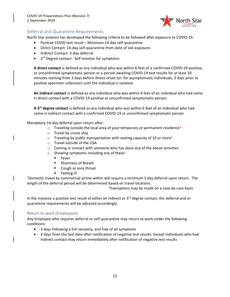

### <span id="page-11-0"></span>Deferral and Quarantine Requirements

North Star aviation has developed the following criteria to be followed after exposure to COVID-19.

- Positive COVID test result Minimum 14-day self-quarantine
- Direct Contact: 14-day self-quarantine from date of last exposure.
- Indirect Contact: 3-day deferral
- 3<sup>rd</sup> Degree contact: Self monitor for symptoms

**A direct contact** is defined as any individual who was within 6 feet of a confirmed COVID-19 positive, or unconfirmed symptomatic person or a person awaiting COVID-19 test results for at least 10 minutes starting from 3 days before illness onset (or, for asymptomatic individuals, 3 days prior to positive specimen collection) until the individual is isolated.

**An indirect contact** is defined as any individual who was within 6 feet of an individual who had come in direct contact with a COVID-19 positive or unconfirmed symptomatic person.

**A 3rd degree contact** is defined as any individual who was within 6 feet of an individual who had come in indirect contact with a confirmed COVID-19 or unconfirmed symptomatic person.

Mandatory 14-day deferral upon return after:

- $\circ$  Traveling outside the local area of your temporary or permanent residence\*
- o Travel by cruise ship
- $\circ$  Traveling by public transportation with seating capacity of 10 or more<sup>1</sup>
- o Travel outside of the USA
- o Coming in contact with someone who has done any of the above activities
- o Showing symptoms including any of these:
	- Fever
	- Shortness of Breath
	- Cough or sore throat
	- Feeling ill

 $1$ Domestic travel by commercial airline within will require a minimum 3 day deferral upon return. The length of the deferral period will be determined based on travel locations.

\*Exemptions may be made on a case-by case basis

In the instance a positive test result of either an indirect or  $3<sup>rd</sup>$  degree contact, the deferral and or quarantine requirements will be adjusted accordingly.

### <span id="page-11-1"></span>Return to work (Employees)

Any Employee who requires deferral or self-quarantine may return to work under the following conditions:

- 3 days following a full recovery, and free of all symptoms
- 3 days from the test date after notification of negative test results. Except individuals who had indirect contact may return immediately after notification of negative test results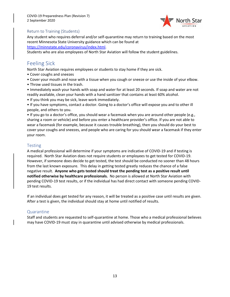

### <span id="page-12-0"></span>Return to Training (Students)

Any student who requires deferral and/or self-quarantine may return to training based on the most recent Minnesota State University guidance which can be found at

[https://minnstate.edu/coronavirus/index.html.](https://minnstate.edu/coronavirus/index.html)

Students who are also employees of North Star Aviation will follow the student guidelines.

### <span id="page-12-1"></span>Feeling Sick

North Star Aviation requires employees or students to stay home if they are sick.

- Cover coughs and sneezes
- Cover your mouth and nose with a tissue when you cough or sneeze or use the inside of your elbow.
- Throw used tissues in the trash.
- Immediately wash your hands with soap and water for at least 20 seconds. If soap and water are not readily available, clean your hands with a hand sanitizer that contains at least 60% alcohol.
- If you think you may be sick, leave work immediately.

• If you have symptoms, contact a doctor. Going to a doctor's office will expose you and to other ill people, and others to you.

• If you go to a doctor's office, you should wear a facemask when you are around other people (e.g., sharing a room or vehicle) and before you enter a healthcare provider's office. If you are not able to wear a facemask (for example, because it causes trouble breathing), then you should do your best to cover your coughs and sneezes, and people who are caring for you should wear a facemask if they enter your room.

### <span id="page-12-2"></span>Testing

A medical professional will determine if your symptoms are indicative of COVID-19 and if testing is required. North Star Aviation does not require students or employees to get tested for COVID-19. However, if someone does decide to get tested, the test should be conducted no sooner than 48 hours from the last known exposure. This delay in getting tested greatly reduces the chance of a false negative result. **Anyone who gets tested should treat the pending test as a positive result until notified otherwise by healthcare professionals.** No person is allowed at North Star Aviation with pending COVID-19 test results, or if the individual has had direct contact with someone pending COVID-19 test results.

If an individual does get tested for any reason, it will be treated as a positive case until results are given. After a test is given, the individual should stay at home until notified of results.

### <span id="page-12-3"></span>Quarantine

Staff and students are requested to self-quarantine at home. Those who a medical professional believes may have COVID-19 must stay in quarantine until advised otherwise by medical professionals.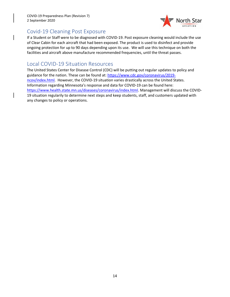COVID-19 Preparedness Plan (Revision 7) 2 September 2020



### <span id="page-13-0"></span>Covid-19 Cleaning Post Exposure

If a Student or Staff were to be diagnosed with COVID-19. Post exposure cleaning would include the use of Clear Cabin for each aircraft that had been exposed. The product is used to disinfect and provide ongoing protection for up to 90 days depending upon its use. We will use this technique on both the facilities and aircraft above manufacture recommended frequencies, until the threat passes.

### <span id="page-13-1"></span>Local COVID-19 Situation Resources

The United States Center for Disease Control (CDC) will be putting out regular updates to policy and guidance for the nation. These can be found at: [https://www.cdc.gov/coronavirus/2019](https://www.cdc.gov/coronavirus/2019-ncov/index.html) [ncov/index.html.](https://www.cdc.gov/coronavirus/2019-ncov/index.html) However, the COVID-19 situation varies drastically across the United States. Information regarding Minnesota's response and data for COVID-19 can be found here: [https://www.health.state.mn.us/diseases/coronavirus/index.html.](https://www.health.state.mn.us/diseases/coronavirus/index.html) Management will discuss the COVID-19 situation regularily to determine next steps and keep students, staff, and customers updated with any changes to policy or operations.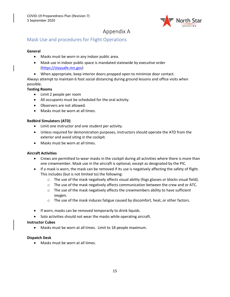

### <span id="page-14-0"></span>Appendix A

### <span id="page-14-1"></span>Mask Use and procedures for Flight Operations

### **General**

- Masks must be worn in any indoor public area.
- Mask use in indoor public space is mandated statewide by executive order [\(https://staysafe.mn.gov\)](https://staysafe.mn.gov/)
- When appropriate, keep interior doors propped open to minimize door contact.

Always attempt to maintain 6 foot social distancing during ground lessons and office visits when possible.

### **Testing Rooms**

- Limit 2 people per room
- All occupants must be scheduled for the oral activity.
- Observers are not allowed.
- Masks must be worn at all times.

### **Redbird Simulators (ATD)**

- Limit one instructor and one student per activity.
- Unless required for demonstration purposes, instructors should operate the ATD from the exterior and avoid siting in the cockpit.
- Masks must be worn at all times.

### **Aircraft Activities**

- Crews are permitted to wear masks in the cockpit during all activities where there is more than one crewmember. Mask use in the aircraft is optional, except as designated by the PIC.
- If a mask is worn, the mask can be removed if its use is negatively affecting the safety of flight. This includes (but is not limited to) the following:
	- $\circ$  The use of the mask negatively affects visual ability (fogs glasses or blocks visual field).
	- $\circ$  The use of the mask negatively affects communication between the crew and or ATC.
	- $\circ$  The use of the mask negatively affects the crewmembers ability to have sufficient oxygen.
	- $\circ$  The use of the mask induces fatigue caused by discomfort, heat, or other factors.
- If worn, masks can be removed temporarily to drink liquids.
- Solo activities should not wear the masks while operating aircraft.

### **Instructor Cubes**

• Masks must be worn at all times. Limit to 18 people maximum.

### **Dispatch Desk**

• Masks must be worn at all times.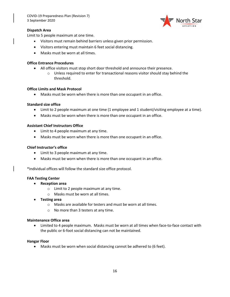

### **Dispatch Area**

Limit to 5 people maximum at one time.

- Visitors must remain behind barriers unless given prior permission.
- Visitors entering must maintain 6 feet social distancing.
- Masks must be worn at all times.

### **Office Entrance Procedures**

- All office visitors must stop short door threshold and announce their presence.
	- $\circ$  Unless required to enter for transactional reasons visitor should stay behind the threshold.

#### **Office Limits and Mask Protocol**

• Masks must be worn when there is more than one occupant in an office.

#### **Standard size office**

- Limit to 2 people maximum at one time (1 employee and 1 student/visiting employee at a time).
- Masks must be worn when there is more than one occupant in an office.

#### **Assistant Chief Instructors Office**

- Limit to 4 people maximum at any time.
- Masks must be worn when there is more than one occupant in an office.

### **Chief Instructor's office**

- Limit to 3 people maximum at any time.
- Masks must be worn when there is more than one occupant in an office.

\*Individual offices will follow the standard size office protocol.

#### **FAA Testing Center**

- **Reception area** 
	- o Limit to 2 people maximum at any time.
	- o Masks must be worn at all times.
- **Testing area** 
	- o Masks are available for testers and must be worn at all times.
	- o No more than 3 testers at any time.

#### **Maintenance Office area**

• Limited to 4 people maximum. Masks must be worn at all times when face-to-face contact with the public or 6-foot social distancing can not be maintained.

#### **Hangar Floor**

• Masks must be worn when social distancing cannot be adhered to (6 feet).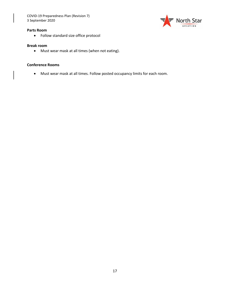COVID-19 Preparedness Plan (Revision 7) 3 September 2020



#### **Parts Room**

• Follow standard size office protocol

#### **Break room**

• Must wear mask at all times (when not eating).

#### **Conference Rooms**

• Must wear mask at all times. Follow posted occupancy limits for each room.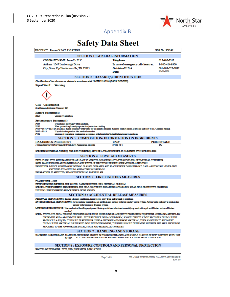

### <span id="page-17-0"></span>Appendix B

## **Safety Data Sheet**

| PRODUCT: PreventX 24/7 AVIATION                                                                                                                                                                                                                                                                                                                                                                                                                                                                    |                                                            | <b>SDS No: PX247</b> |  |
|----------------------------------------------------------------------------------------------------------------------------------------------------------------------------------------------------------------------------------------------------------------------------------------------------------------------------------------------------------------------------------------------------------------------------------------------------------------------------------------------------|------------------------------------------------------------|----------------------|--|
|                                                                                                                                                                                                                                                                                                                                                                                                                                                                                                    | <b>SECTION 1: GENERAL INFORMATION</b>                      |                      |  |
| <b>COMPANY NAME JennsCo LLC</b>                                                                                                                                                                                                                                                                                                                                                                                                                                                                    | <b>Telephone</b>                                           | 615-496-7313         |  |
| Address 1047 Luxborough Drive                                                                                                                                                                                                                                                                                                                                                                                                                                                                      | In case of emergency call chemirec:                        | 1-800-424-9300       |  |
| City, State, Zip Hendersonville, TN 37075                                                                                                                                                                                                                                                                                                                                                                                                                                                          | Outside of U.S.A.:                                         | 001-703-527-3887     |  |
|                                                                                                                                                                                                                                                                                                                                                                                                                                                                                                    | Date:                                                      | 02-01-2020           |  |
| <b>SECTION 2 : HAZARD(S) IDENTIFICATION</b>                                                                                                                                                                                                                                                                                                                                                                                                                                                        |                                                            |                      |  |
| Classification of the substance or mixture in accordance with 29 CFR 1910.1200 (OSHA HCS/GHS).                                                                                                                                                                                                                                                                                                                                                                                                     |                                                            |                      |  |
| Signal Word:<br><b>Warning</b>                                                                                                                                                                                                                                                                                                                                                                                                                                                                     |                                                            |                      |  |
|                                                                                                                                                                                                                                                                                                                                                                                                                                                                                                    |                                                            |                      |  |
| <b>CHS</b> - Classification<br>Eye Damage/Irritation (Category 2B)                                                                                                                                                                                                                                                                                                                                                                                                                                 |                                                            |                      |  |
| <b>Hazard Statement(s)</b><br>H320<br>Causes eye irritation                                                                                                                                                                                                                                                                                                                                                                                                                                        |                                                            |                      |  |
| <b>Precautionary Statement(s)</b><br>P264<br>Wash hands thoroughly after handling.<br>P280<br>Wear protective gloves/eye protection/protective clothing.<br>P305 + P351 + P338 IF IN EYES: Rinso cautiously with water for 15 minutes or more. Remove contact lenses, if present and easy to do. Continue rinsing.<br>P337+P313<br>If eye irritation persists: Get medical attention<br>Dispose of contents in container in accordance with local/state/federal/international regulations.<br>P501 |                                                            |                      |  |
|                                                                                                                                                                                                                                                                                                                                                                                                                                                                                                    | <b>SECTION 3 : COMPOSITION/ INFORMATION ON INGREDIENTS</b> |                      |  |
| <b>HAZARDOUS INGREDIENT</b>                                                                                                                                                                                                                                                                                                                                                                                                                                                                        | CAS#                                                       | <b>PERCENTAGE</b>    |  |
| 3-(Trimethoxysilyf) Propyldimethyl Octadecyl Ammonium chloride                                                                                                                                                                                                                                                                                                                                                                                                                                     | 27668-52-6                                                 | 1%                   |  |
| SPECIFIC CHEMICAL NAME(S) AND CAS NUMBER(S) MAY BE A TRADE SECRET AS ALLOWED BY 29 CFR 1910.1200                                                                                                                                                                                                                                                                                                                                                                                                   |                                                            |                      |  |
| <b>SECTION 4 : FIRST AID MEASURES</b>                                                                                                                                                                                                                                                                                                                                                                                                                                                              |                                                            |                      |  |
| EVES: FLUSH EYES WITH WATER FOR AT LEAST 15 MINUTES.OCCASIONALLY LIFTING EYELIDS. GET MEDICAL ATTENTION.<br>SKIN: WASH EXPOSED AREAS WITH SOAP AND WATER. IF IRRITATION PERSIST, SEEK MEDICAL ATTENTION.<br>INGESTION: INDUCE VOMITING BY GIVING 2 GLASSES OF WATER AND PLACE FINGER DOWN THROAT, CALL A PHYSICIAN, NEVER GIVE<br>ANYTHING BY MOUTH TO AN UNCONSCIOUS PERSON.<br><b>INHALATION: IF AFFECTED. REMOVE INDIVIDUAL TO FRESH AIR.</b>                                                   |                                                            |                      |  |
|                                                                                                                                                                                                                                                                                                                                                                                                                                                                                                    | <b>SECTION 5 : FIRE FIGHTING MEASURES</b>                  |                      |  |
| <b>FLASH POINT: = 200F</b><br>EXTINGUISHING METHOD: USE WATER, CARBON DIOXIDE, DRY CHEMICAL OR FOAM.<br>SPECIAL FIRE FIGHTING PROCEDURES: USE SELF-CONTAINED BREATHING APPARATUS, WEAR FULL PROTECTIVE CLOTHING.<br>UNUSUAL FIRE FIGHTING PROCEDURES: NONE KNOWN.                                                                                                                                                                                                                                  |                                                            |                      |  |
| <b>SECTION 6 : ACCIDENTIAL RELEASE MEASURES</b>                                                                                                                                                                                                                                                                                                                                                                                                                                                    |                                                            |                      |  |
|                                                                                                                                                                                                                                                                                                                                                                                                                                                                                                    |                                                            |                      |  |

METHODS FOR CLEAN UP: Uso mochanical handling equipment. Soak up with inert absorbent material(e.g. sand, silica gel, acid binder, universal binder, sawdust)

SPILL: VENTILATE AREA, PERSONS PERFORMING CLEAN-UP SHOULD WEAR ADEQUATE PROTECTION EQUIPMENT. CONTAIN MATERIAL BY DIKING THE AREA AROUND THE SPILL. IF THE PRODUCT IS IN A SOLID FORM, SHOVEL DIRECTLY INTO RECOVERY DRUMS. IF THE PRODUCT IS A LIQUID, IT SHOULD BE PICKED UP USING A SUITABLE ABSORBANT MATERIAL, THEN SHOVELED TO RECOVERY DRUMS. IF THE MATERIAL IS RELEASED INTO THE ENVIRONMENT, THE USER SHOULD DETERMINE WHETHER THE SPILL SHOULD BE REPORTED TO THE APPROPRIATE LOCAL, STATE AND FEDERAL AUTHORITIES.

#### **SECTION 7: HANDLING AND STORAGE**

 ${\bf HANDLING AND \mbox{\textbf{STOKAGE}}.\mbox{\bf MATRIALS} \mbox{\bf SOLUTIONB} \mbox{\bf E} \mbox{\bf STORED} \mbox{\bf N} \mbox{\bf TS} \mbox{\bf OWN} \mbox{\bf CONTANER AND \mbox{\bf SHOULD ALWAYS} \mbox{\bf BE} \mbox{\bf KEPT} \mbox{\bf COVERED WHEN NOT} \mbox{\bf NUSE}.\mbox{\bf ALL CONTANERS SHOULD BE RINSED THOROUGHLY 3 TIMES PROR TO DISPOSAL}$ 

#### SECTION 8 : EXPOSURE CONTROLS AND PERSONAL PROTECTION

ROUTES OF EXPOSURE: EYES, SKIN, INGESTION, INHALATION

Page 1 of 3

 $\mathbf{ND} = \mathbf{NOT}$ DETERMINED $\mathbf{NA} = \mathbf{NOT}$ APPLICABLE **Rev. 2.0**